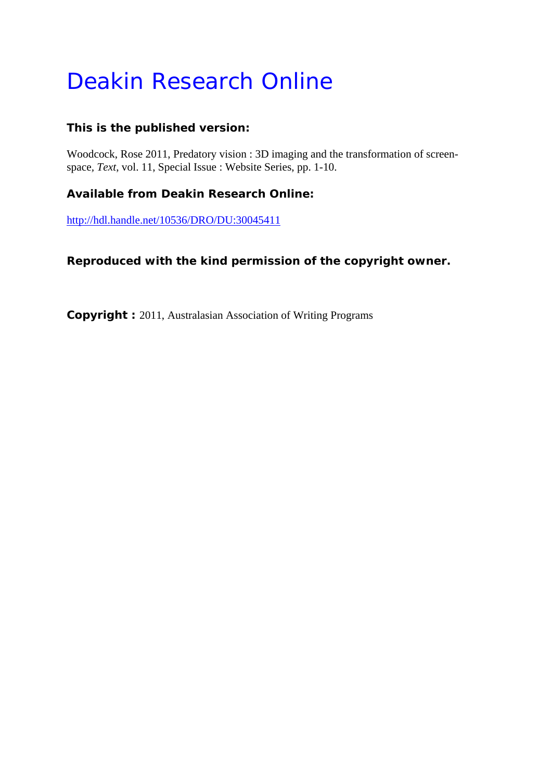# Deakin Research Online

# **This is the published version:**

Woodcock, Rose 2011, Predatory vision : 3D imaging and the transformation of screenspace*, Text*, vol. 11, Special Issue : Website Series, pp. 1-10.

# **Available from Deakin Research Online:**

http://hdl.handle.net/10536/DRO/DU:30045411

# **Reproduced with the kind permission of the copyright owner.**

**Copyright :** 2011, Australasian Association of Writing Programs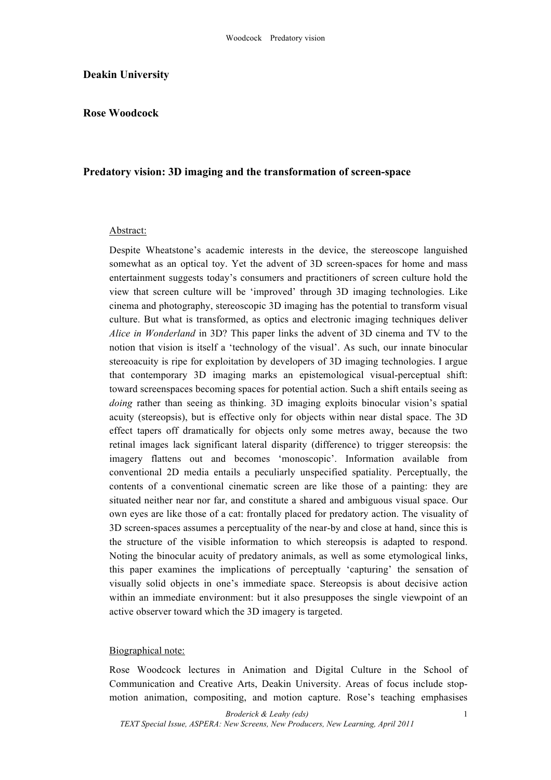#### **Deakin University**

## **Rose Woodcock**

## **Predatory vision: 3D imaging and the transformation of screen-space**

#### Abstract:

Despite Wheatstone's academic interests in the device, the stereoscope languished somewhat as an optical toy. Yet the advent of 3D screen-spaces for home and mass entertainment suggests today's consumers and practitioners of screen culture hold the view that screen culture will be 'improved' through 3D imaging technologies. Like cinema and photography, stereoscopic 3D imaging has the potential to transform visual culture. But what is transformed, as optics and electronic imaging techniques deliver *Alice in Wonderland* in 3D? This paper links the advent of 3D cinema and TV to the notion that vision is itself a 'technology of the visual'. As such, our innate binocular stereoacuity is ripe for exploitation by developers of 3D imaging technologies. I argue that contemporary 3D imaging marks an epistemological visual-perceptual shift: toward screenspaces becoming spaces for potential action. Such a shift entails seeing as *doing* rather than seeing as thinking. 3D imaging exploits binocular vision's spatial acuity (stereopsis), but is effective only for objects within near distal space. The 3D effect tapers off dramatically for objects only some metres away, because the two retinal images lack significant lateral disparity (difference) to trigger stereopsis: the imagery flattens out and becomes 'monoscopic'. Information available from conventional 2D media entails a peculiarly unspecified spatiality. Perceptually, the contents of a conventional cinematic screen are like those of a painting: they are situated neither near nor far, and constitute a shared and ambiguous visual space. Our own eyes are like those of a cat: frontally placed for predatory action. The visuality of 3D screen-spaces assumes a perceptuality of the near-by and close at hand, since this is the structure of the visible information to which stereopsis is adapted to respond. Noting the binocular acuity of predatory animals, as well as some etymological links, this paper examines the implications of perceptually 'capturing' the sensation of visually solid objects in one's immediate space. Stereopsis is about decisive action within an immediate environment: but it also presupposes the single viewpoint of an active observer toward which the 3D imagery is targeted.

#### Biographical note:

Rose Woodcock lectures in Animation and Digital Culture in the School of Communication and Creative Arts, Deakin University. Areas of focus include stopmotion animation, compositing, and motion capture. Rose's teaching emphasises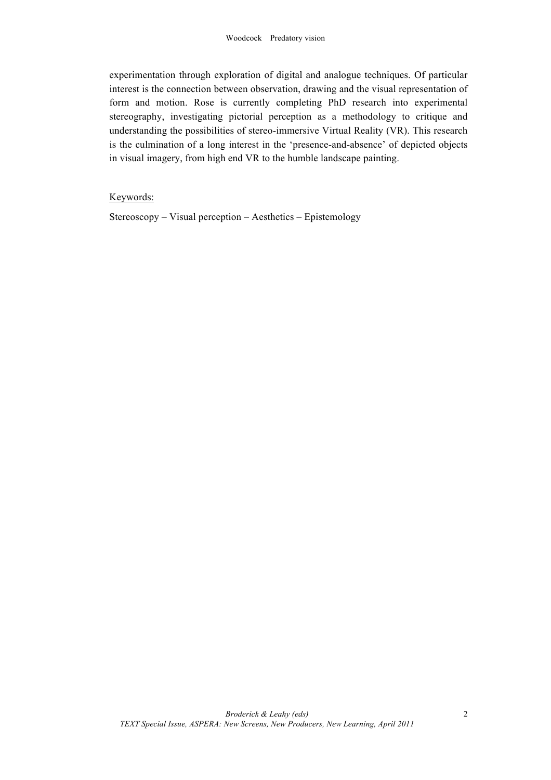experimentation through exploration of digital and analogue techniques. Of particular interest is the connection between observation, drawing and the visual representation of form and motion. Rose is currently completing PhD research into experimental stereography, investigating pictorial perception as a methodology to critique and understanding the possibilities of stereo-immersive Virtual Reality (VR). This research is the culmination of a long interest in the 'presence-and-absence' of depicted objects in visual imagery, from high end VR to the humble landscape painting.

## Keywords:

Stereoscopy – Visual perception – Aesthetics – Epistemology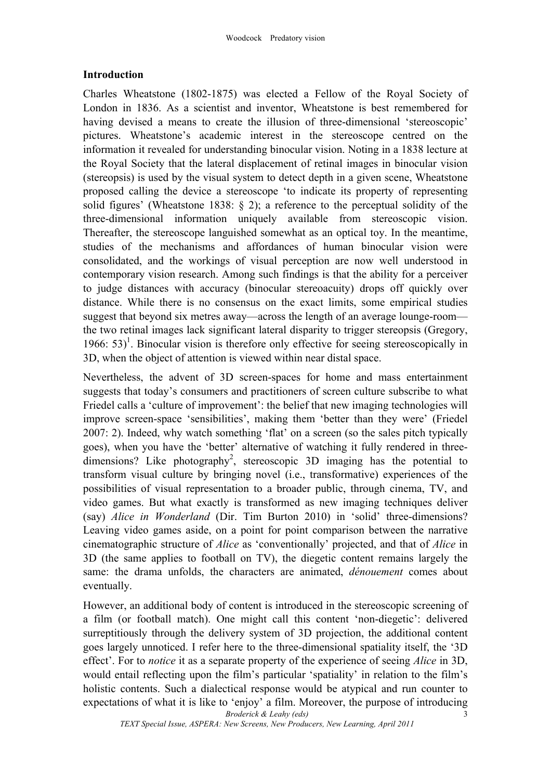## **Introduction**

Charles Wheatstone (1802-1875) was elected a Fellow of the Royal Society of London in 1836. As a scientist and inventor, Wheatstone is best remembered for having devised a means to create the illusion of three-dimensional 'stereoscopic' pictures. Wheatstone's academic interest in the stereoscope centred on the information it revealed for understanding binocular vision. Noting in a 1838 lecture at the Royal Society that the lateral displacement of retinal images in binocular vision (stereopsis) is used by the visual system to detect depth in a given scene, Wheatstone proposed calling the device a stereoscope 'to indicate its property of representing solid figures' (Wheatstone 1838: § 2); a reference to the perceptual solidity of the three-dimensional information uniquely available from stereoscopic vision. Thereafter, the stereoscope languished somewhat as an optical toy. In the meantime, studies of the mechanisms and affordances of human binocular vision were consolidated, and the workings of visual perception are now well understood in contemporary vision research. Among such findings is that the ability for a perceiver to judge distances with accuracy (binocular stereoacuity) drops off quickly over distance. While there is no consensus on the exact limits, some empirical studies suggest that beyond six metres away—across the length of an average lounge-room the two retinal images lack significant lateral disparity to trigger stereopsis (Gregory, 1966:  $53$ <sup>1</sup>. Binocular vision is therefore only effective for seeing stereoscopically in 3D, when the object of attention is viewed within near distal space.

Nevertheless, the advent of 3D screen-spaces for home and mass entertainment suggests that today's consumers and practitioners of screen culture subscribe to what Friedel calls a 'culture of improvement': the belief that new imaging technologies will improve screen-space 'sensibilities', making them 'better than they were' (Friedel 2007: 2). Indeed, why watch something 'flat' on a screen (so the sales pitch typically goes), when you have the 'better' alternative of watching it fully rendered in threedimensions? Like photography<sup>2</sup>, stereoscopic 3D imaging has the potential to transform visual culture by bringing novel (i.e., transformative) experiences of the possibilities of visual representation to a broader public, through cinema, TV, and video games. But what exactly is transformed as new imaging techniques deliver (say) *Alice in Wonderland* (Dir. Tim Burton 2010) in 'solid' three-dimensions? Leaving video games aside, on a point for point comparison between the narrative cinematographic structure of *Alice* as 'conventionally' projected, and that of *Alice* in 3D (the same applies to football on TV), the diegetic content remains largely the same: the drama unfolds, the characters are animated, *dénouement* comes about eventually.

*Broderick & Leahy (eds)* However, an additional body of content is introduced in the stereoscopic screening of a film (or football match). One might call this content 'non-diegetic': delivered surreptitiously through the delivery system of 3D projection, the additional content goes largely unnoticed. I refer here to the three-dimensional spatiality itself, the '3D effect'. For to *notice* it as a separate property of the experience of seeing *Alice* in 3D, would entail reflecting upon the film's particular 'spatiality' in relation to the film's holistic contents. Such a dialectical response would be atypical and run counter to expectations of what it is like to 'enjoy' a film. Moreover, the purpose of introducing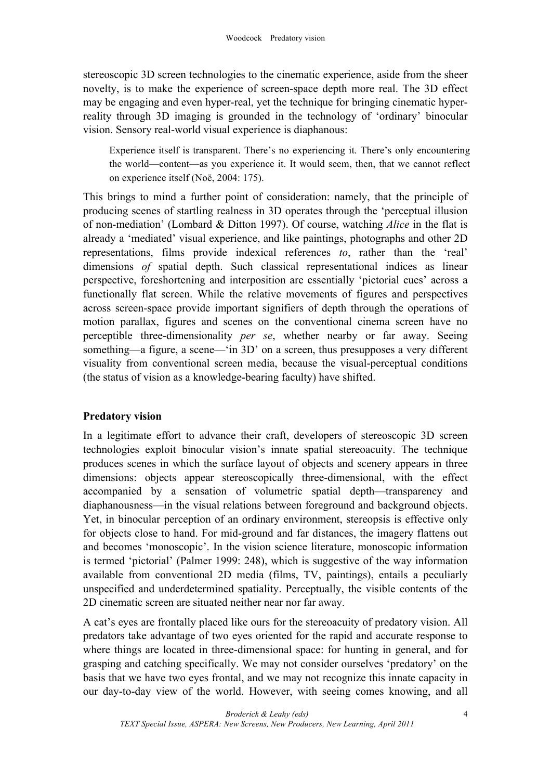stereoscopic 3D screen technologies to the cinematic experience, aside from the sheer novelty, is to make the experience of screen-space depth more real. The 3D effect may be engaging and even hyper-real, yet the technique for bringing cinematic hyperreality through 3D imaging is grounded in the technology of 'ordinary' binocular vision. Sensory real-world visual experience is diaphanous:

Experience itself is transparent. There's no experiencing it. There's only encountering the world—content—as you experience it. It would seem, then, that we cannot reflect on experience itself (Noë, 2004: 175).

This brings to mind a further point of consideration: namely, that the principle of producing scenes of startling realness in 3D operates through the 'perceptual illusion of non-mediation' (Lombard & Ditton 1997). Of course, watching *Alice* in the flat is already a 'mediated' visual experience, and like paintings, photographs and other 2D representations, films provide indexical references *to*, rather than the 'real' dimensions *of* spatial depth. Such classical representational indices as linear perspective, foreshortening and interposition are essentially 'pictorial cues' across a functionally flat screen. While the relative movements of figures and perspectives across screen-space provide important signifiers of depth through the operations of motion parallax, figures and scenes on the conventional cinema screen have no perceptible three-dimensionality *per se*, whether nearby or far away. Seeing something—a figure, a scene—'in 3D' on a screen, thus presupposes a very different visuality from conventional screen media, because the visual-perceptual conditions (the status of vision as a knowledge-bearing faculty) have shifted.

# **Predatory vision**

In a legitimate effort to advance their craft, developers of stereoscopic 3D screen technologies exploit binocular vision's innate spatial stereoacuity. The technique produces scenes in which the surface layout of objects and scenery appears in three dimensions: objects appear stereoscopically three-dimensional, with the effect accompanied by a sensation of volumetric spatial depth—transparency and diaphanousness—in the visual relations between foreground and background objects. Yet, in binocular perception of an ordinary environment, stereopsis is effective only for objects close to hand. For mid-ground and far distances, the imagery flattens out and becomes 'monoscopic'. In the vision science literature, monoscopic information is termed 'pictorial' (Palmer 1999: 248), which is suggestive of the way information available from conventional 2D media (films, TV, paintings), entails a peculiarly unspecified and underdetermined spatiality. Perceptually, the visible contents of the 2D cinematic screen are situated neither near nor far away.

A cat's eyes are frontally placed like ours for the stereoacuity of predatory vision. All predators take advantage of two eyes oriented for the rapid and accurate response to where things are located in three-dimensional space: for hunting in general, and for grasping and catching specifically. We may not consider ourselves 'predatory' on the basis that we have two eyes frontal, and we may not recognize this innate capacity in our day-to-day view of the world. However, with seeing comes knowing, and all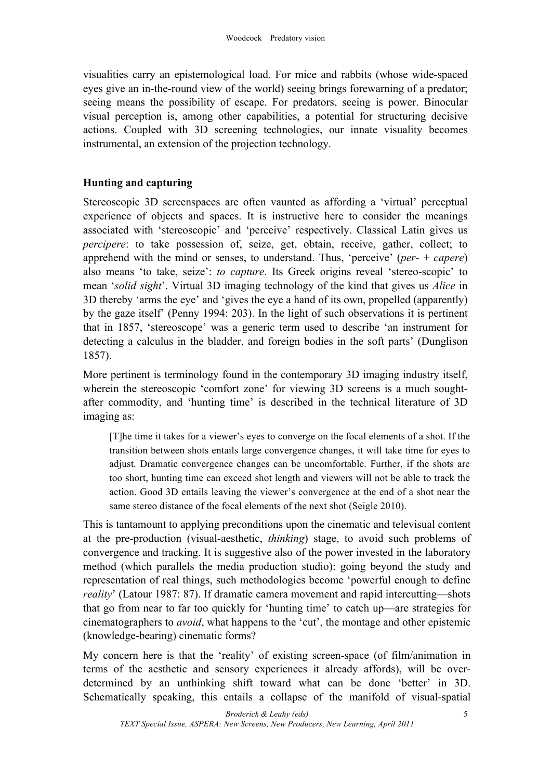visualities carry an epistemological load. For mice and rabbits (whose wide-spaced eyes give an in-the-round view of the world) seeing brings forewarning of a predator; seeing means the possibility of escape. For predators, seeing is power. Binocular visual perception is, among other capabilities, a potential for structuring decisive actions. Coupled with 3D screening technologies, our innate visuality becomes instrumental, an extension of the projection technology.

## **Hunting and capturing**

Stereoscopic 3D screenspaces are often vaunted as affording a 'virtual' perceptual experience of objects and spaces. It is instructive here to consider the meanings associated with 'stereoscopic' and 'perceive' respectively. Classical Latin gives us *percipere*: to take possession of, seize, get, obtain, receive, gather, collect; to apprehend with the mind or senses, to understand. Thus, 'perceive' (*per-* + *capere*) also means 'to take, seize': *to capture*. Its Greek origins reveal 'stereo-scopic' to mean '*solid sight*'. Virtual 3D imaging technology of the kind that gives us *Alice* in 3D thereby 'arms the eye' and 'gives the eye a hand of its own, propelled (apparently) by the gaze itself' (Penny 1994: 203). In the light of such observations it is pertinent that in 1857, 'stereoscope' was a generic term used to describe 'an instrument for detecting a calculus in the bladder, and foreign bodies in the soft parts' (Dunglison 1857).

More pertinent is terminology found in the contemporary 3D imaging industry itself, wherein the stereoscopic 'comfort zone' for viewing 3D screens is a much soughtafter commodity, and 'hunting time' is described in the technical literature of 3D imaging as:

[T]he time it takes for a viewer's eyes to converge on the focal elements of a shot. If the transition between shots entails large convergence changes, it will take time for eyes to adjust. Dramatic convergence changes can be uncomfortable. Further, if the shots are too short, hunting time can exceed shot length and viewers will not be able to track the action. Good 3D entails leaving the viewer's convergence at the end of a shot near the same stereo distance of the focal elements of the next shot (Seigle 2010).

This is tantamount to applying preconditions upon the cinematic and televisual content at the pre-production (visual-aesthetic, *thinking*) stage, to avoid such problems of convergence and tracking. It is suggestive also of the power invested in the laboratory method (which parallels the media production studio): going beyond the study and representation of real things, such methodologies become 'powerful enough to define *reality*' (Latour 1987: 87). If dramatic camera movement and rapid intercutting—shots that go from near to far too quickly for 'hunting time' to catch up—are strategies for cinematographers to *avoid*, what happens to the 'cut', the montage and other epistemic (knowledge-bearing) cinematic forms?

My concern here is that the 'reality' of existing screen-space (of film/animation in terms of the aesthetic and sensory experiences it already affords), will be overdetermined by an unthinking shift toward what can be done 'better' in 3D. Schematically speaking, this entails a collapse of the manifold of visual-spatial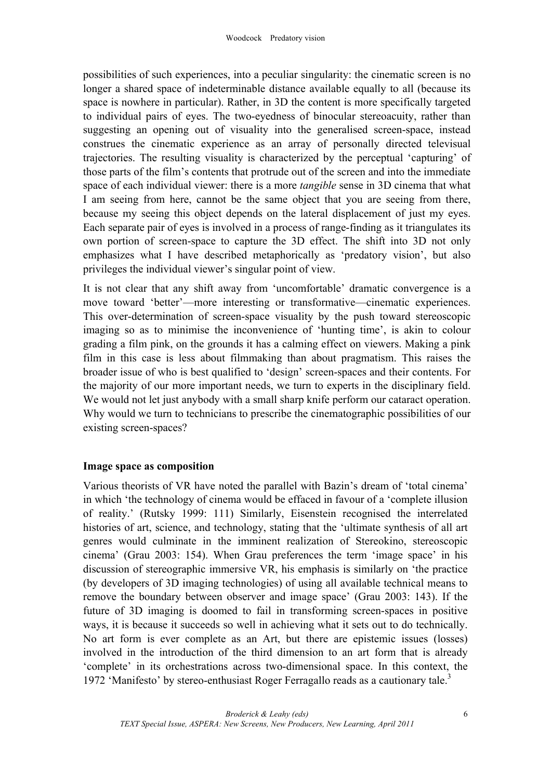possibilities of such experiences, into a peculiar singularity: the cinematic screen is no longer a shared space of indeterminable distance available equally to all (because its space is nowhere in particular). Rather, in 3D the content is more specifically targeted to individual pairs of eyes. The two-eyedness of binocular stereoacuity, rather than suggesting an opening out of visuality into the generalised screen-space, instead construes the cinematic experience as an array of personally directed televisual trajectories. The resulting visuality is characterized by the perceptual 'capturing' of those parts of the film's contents that protrude out of the screen and into the immediate space of each individual viewer: there is a more *tangible* sense in 3D cinema that what I am seeing from here, cannot be the same object that you are seeing from there, because my seeing this object depends on the lateral displacement of just my eyes. Each separate pair of eyes is involved in a process of range-finding as it triangulates its own portion of screen-space to capture the 3D effect. The shift into 3D not only emphasizes what I have described metaphorically as 'predatory vision', but also privileges the individual viewer's singular point of view.

It is not clear that any shift away from 'uncomfortable' dramatic convergence is a move toward 'better'—more interesting or transformative—cinematic experiences. This over-determination of screen-space visuality by the push toward stereoscopic imaging so as to minimise the inconvenience of 'hunting time', is akin to colour grading a film pink, on the grounds it has a calming effect on viewers. Making a pink film in this case is less about filmmaking than about pragmatism. This raises the broader issue of who is best qualified to 'design' screen-spaces and their contents. For the majority of our more important needs, we turn to experts in the disciplinary field. We would not let just anybody with a small sharp knife perform our cataract operation. Why would we turn to technicians to prescribe the cinematographic possibilities of our existing screen-spaces?

## **Image space as composition**

Various theorists of VR have noted the parallel with Bazin's dream of 'total cinema' in which 'the technology of cinema would be effaced in favour of a 'complete illusion of reality.' (Rutsky 1999: 111) Similarly, Eisenstein recognised the interrelated histories of art, science, and technology, stating that the 'ultimate synthesis of all art genres would culminate in the imminent realization of Stereokino, stereoscopic cinema' (Grau 2003: 154). When Grau preferences the term 'image space' in his discussion of stereographic immersive VR, his emphasis is similarly on 'the practice (by developers of 3D imaging technologies) of using all available technical means to remove the boundary between observer and image space' (Grau 2003: 143). If the future of 3D imaging is doomed to fail in transforming screen-spaces in positive ways, it is because it succeeds so well in achieving what it sets out to do technically. No art form is ever complete as an Art, but there are epistemic issues (losses) involved in the introduction of the third dimension to an art form that is already 'complete' in its orchestrations across two-dimensional space. In this context, the 1972 'Manifesto' by stereo-enthusiast Roger Ferragallo reads as a cautionary tale.<sup>3</sup>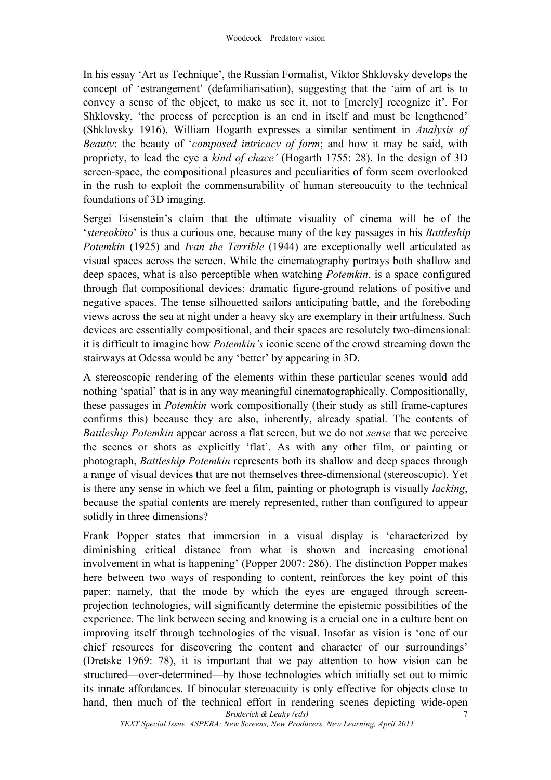In his essay 'Art as Technique', the Russian Formalist, Viktor Shklovsky develops the concept of 'estrangement' (defamiliarisation), suggesting that the 'aim of art is to convey a sense of the object, to make us see it, not to [merely] recognize it'. For Shklovsky, 'the process of perception is an end in itself and must be lengthened' (Shklovsky 1916). William Hogarth expresses a similar sentiment in *Analysis of Beauty*: the beauty of '*composed intricacy of form*; and how it may be said, with propriety, to lead the eye a *kind of chace'* (Hogarth 1755: 28). In the design of 3D screen-space, the compositional pleasures and peculiarities of form seem overlooked in the rush to exploit the commensurability of human stereoacuity to the technical foundations of 3D imaging.

Sergei Eisenstein's claim that the ultimate visuality of cinema will be of the '*stereokino*' is thus a curious one, because many of the key passages in his *Battleship Potemkin* (1925) and *Ivan the Terrible* (1944) are exceptionally well articulated as visual spaces across the screen. While the cinematography portrays both shallow and deep spaces, what is also perceptible when watching *Potemkin*, is a space configured through flat compositional devices: dramatic figure-ground relations of positive and negative spaces. The tense silhouetted sailors anticipating battle, and the foreboding views across the sea at night under a heavy sky are exemplary in their artfulness. Such devices are essentially compositional, and their spaces are resolutely two-dimensional: it is difficult to imagine how *Potemkin's* iconic scene of the crowd streaming down the stairways at Odessa would be any 'better' by appearing in 3D.

A stereoscopic rendering of the elements within these particular scenes would add nothing 'spatial' that is in any way meaningful cinematographically. Compositionally, these passages in *Potemkin* work compositionally (their study as still frame-captures confirms this) because they are also, inherently, already spatial. The contents of *Battleship Potemkin* appear across a flat screen, but we do not *sense* that we perceive the scenes or shots as explicitly 'flat'. As with any other film, or painting or photograph, *Battleship Potemkin* represents both its shallow and deep spaces through a range of visual devices that are not themselves three-dimensional (stereoscopic). Yet is there any sense in which we feel a film, painting or photograph is visually *lacking*, because the spatial contents are merely represented, rather than configured to appear solidly in three dimensions?

*Broderick & Leahy (eds)* 7 Frank Popper states that immersion in a visual display is 'characterized by diminishing critical distance from what is shown and increasing emotional involvement in what is happening' (Popper 2007: 286). The distinction Popper makes here between two ways of responding to content, reinforces the key point of this paper: namely, that the mode by which the eyes are engaged through screenprojection technologies, will significantly determine the epistemic possibilities of the experience. The link between seeing and knowing is a crucial one in a culture bent on improving itself through technologies of the visual. Insofar as vision is 'one of our chief resources for discovering the content and character of our surroundings' (Dretske 1969: 78), it is important that we pay attention to how vision can be structured—over-determined—by those technologies which initially set out to mimic its innate affordances. If binocular stereoacuity is only effective for objects close to hand, then much of the technical effort in rendering scenes depicting wide-open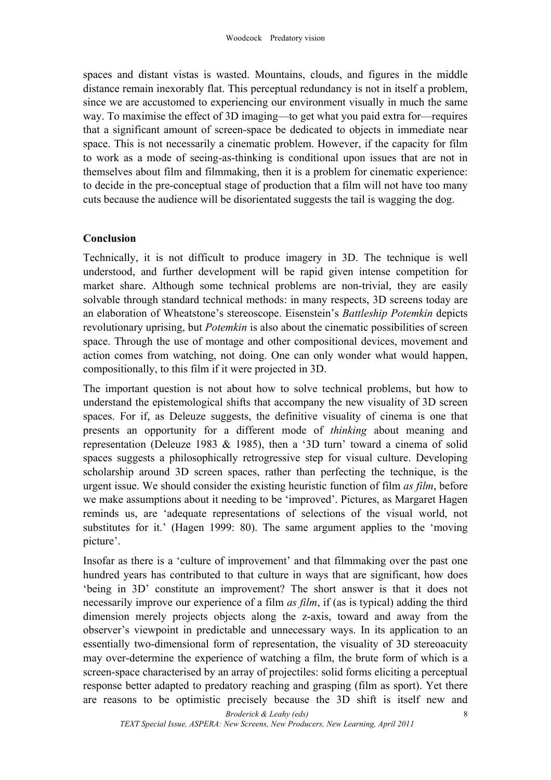spaces and distant vistas is wasted. Mountains, clouds, and figures in the middle distance remain inexorably flat. This perceptual redundancy is not in itself a problem, since we are accustomed to experiencing our environment visually in much the same way. To maximise the effect of 3D imaging—to get what you paid extra for—requires that a significant amount of screen-space be dedicated to objects in immediate near space. This is not necessarily a cinematic problem. However, if the capacity for film to work as a mode of seeing-as-thinking is conditional upon issues that are not in themselves about film and filmmaking, then it is a problem for cinematic experience: to decide in the pre-conceptual stage of production that a film will not have too many cuts because the audience will be disorientated suggests the tail is wagging the dog.

## **Conclusion**

Technically, it is not difficult to produce imagery in 3D. The technique is well understood, and further development will be rapid given intense competition for market share. Although some technical problems are non-trivial, they are easily solvable through standard technical methods: in many respects, 3D screens today are an elaboration of Wheatstone's stereoscope. Eisenstein's *Battleship Potemkin* depicts revolutionary uprising, but *Potemkin* is also about the cinematic possibilities of screen space. Through the use of montage and other compositional devices, movement and action comes from watching, not doing. One can only wonder what would happen, compositionally, to this film if it were projected in 3D.

The important question is not about how to solve technical problems, but how to understand the epistemological shifts that accompany the new visuality of 3D screen spaces. For if, as Deleuze suggests, the definitive visuality of cinema is one that presents an opportunity for a different mode of *thinking* about meaning and representation (Deleuze 1983 & 1985), then a '3D turn' toward a cinema of solid spaces suggests a philosophically retrogressive step for visual culture. Developing scholarship around 3D screen spaces, rather than perfecting the technique, is the urgent issue. We should consider the existing heuristic function of film *as film*, before we make assumptions about it needing to be 'improved'. Pictures, as Margaret Hagen reminds us, are 'adequate representations of selections of the visual world, not substitutes for it.' (Hagen 1999: 80). The same argument applies to the 'moving picture'.

Insofar as there is a 'culture of improvement' and that filmmaking over the past one hundred years has contributed to that culture in ways that are significant, how does 'being in 3D' constitute an improvement? The short answer is that it does not necessarily improve our experience of a film *as film*, if (as is typical) adding the third dimension merely projects objects along the z-axis, toward and away from the observer's viewpoint in predictable and unnecessary ways. In its application to an essentially two-dimensional form of representation, the visuality of 3D stereoacuity may over-determine the experience of watching a film, the brute form of which is a screen-space characterised by an array of projectiles: solid forms eliciting a perceptual response better adapted to predatory reaching and grasping (film as sport). Yet there are reasons to be optimistic precisely because the 3D shift is itself new and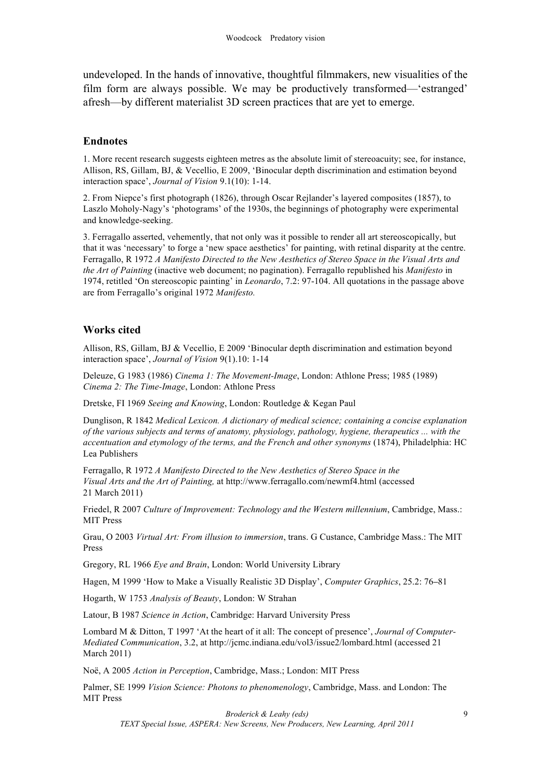undeveloped. In the hands of innovative, thoughtful filmmakers, new visualities of the film form are always possible. We may be productively transformed—'estranged' afresh—by different materialist 3D screen practices that are yet to emerge.

#### **Endnotes**

1. More recent research suggests eighteen metres as the absolute limit of stereoacuity; see, for instance, Allison, RS, Gillam, BJ, & Vecellio, E 2009, 'Binocular depth discrimination and estimation beyond interaction space', *Journal of Vision* 9.1(10): 1-14.

2. From Niepce's first photograph (1826), through Oscar Rejlander's layered composites (1857), to Laszlo Moholy-Nagy's 'photograms' of the 1930s, the beginnings of photography were experimental and knowledge-seeking.

3. Ferragallo asserted, vehemently, that not only was it possible to render all art stereoscopically, but that it was 'necessary' to forge a 'new space aesthetics' for painting, with retinal disparity at the centre. Ferragallo, R 1972 *A Manifesto Directed to the New Aesthetics of Stereo Space in the Visual Arts and the Art of Painting* (inactive web document; no pagination). Ferragallo republished his *Manifesto* in 1974, retitled 'On stereoscopic painting' in *Leonardo*, 7.2: 97-104. All quotations in the passage above are from Ferragallo's original 1972 *Manifesto.*

#### **Works cited**

Allison, RS, Gillam, BJ & Vecellio, E 2009 'Binocular depth discrimination and estimation beyond interaction space', *Journal of Vision* 9(1).10: 1-14

Deleuze, G 1983 (1986) *Cinema 1: The Movement-Image*, London: Athlone Press; 1985 (1989) *Cinema 2: The Time-Image*, London: Athlone Press

Dretske, FI 1969 *Seeing and Knowing*, London: Routledge & Kegan Paul

Dunglison, R 1842 *Medical Lexicon. A dictionary of medical science; containing a concise explanation of the various subjects and terms of anatomy, physiology, pathology, hygiene, therapeutics ... with the accentuation and etymology of the terms, and the French and other synonyms* (1874), Philadelphia: HC Lea Publishers

Ferragallo, R 1972 *A Manifesto Directed to the New Aesthetics of Stereo Space in the Visual Arts and the Art of Painting,* at http://www.ferragallo.com/newmf4.html (accessed 21 March 2011)

Friedel, R 2007 *Culture of Improvement: Technology and the Western millennium*, Cambridge, Mass.: MIT Press

Grau, O 2003 *Virtual Art: From illusion to immersion*, trans. G Custance, Cambridge Mass.: The MIT Press

Gregory, RL 1966 *Eye and Brain*, London: World University Library

Hagen, M 1999 'How to Make a Visually Realistic 3D Display', *Computer Graphics*, 25.2: 76**–**81

Hogarth, W 1753 *Analysis of Beauty*, London: W Strahan

Latour, B 1987 *Science in Action*, Cambridge: Harvard University Press

Lombard M & Ditton, T 1997 'At the heart of it all: The concept of presence', *Journal of Computer-Mediated Communication*, 3.2, at http://jcmc.indiana.edu/vol3/issue2/lombard.html (accessed 21 March 2011)

Noë, A 2005 *Action in Perception*, Cambridge, Mass.; London: MIT Press

Palmer, SE 1999 *Vision Science: Photons to phenomenology*, Cambridge, Mass. and London: The MIT Press